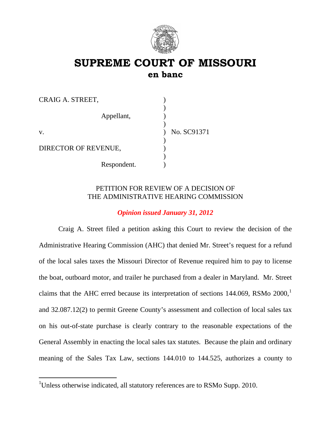

# **SUPREME COURT OF MISSOURI en banc**

| CRAIG A. STREET,     |             |
|----------------------|-------------|
| Appellant,           |             |
| V.                   | No. SC91371 |
| DIRECTOR OF REVENUE, |             |
| Respondent.          |             |

# PETITION FOR REVIEW OF A DECISION OF THE ADMINISTRATIVE HEARING COMMISSION

# *Opinion issued January 31, 2012*

Craig A. Street filed a petition asking this Court to review the decision of the Administrative Hearing Commission (AHC) that denied Mr. Street's request for a refund of the local sales taxes the Missouri Director of Revenue required him to pay to license the boat, outboard motor, and trailer he purchased from a dealer in Maryland. Mr. Street claims that the AHC erred because its interpretation of sections  $144.069$  $144.069$ , RSMo  $2000$ ,<sup>1</sup> and 32.087.12(2) to permit Greene County's assessment and collection of local sales tax on his out-of-state purchase is clearly contrary to the reasonable expectations of the General Assembly in enacting the local sales tax statutes. Because the plain and ordinary meaning of the Sales Tax Law, sections 144.010 to 144.525, authorizes a county to

<span id="page-0-0"></span><sup>&</sup>lt;sup>1</sup>Unless otherwise indicated, all statutory references are to RSMo Supp. 2010.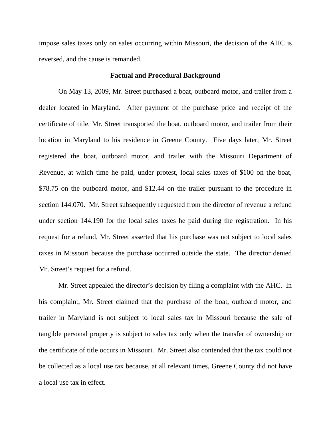impose sales taxes only on sales occurring within Missouri, the decision of the AHC is reversed, and the cause is remanded.

#### **Factual and Procedural Background**

On May 13, 2009, Mr. Street purchased a boat, outboard motor, and trailer from a dealer located in Maryland. After payment of the purchase price and receipt of the certificate of title, Mr. Street transported the boat, outboard motor, and trailer from their location in Maryland to his residence in Greene County. Five days later, Mr. Street registered the boat, outboard motor, and trailer with the Missouri Department of Revenue, at which time he paid, under protest, local sales taxes of \$100 on the boat, \$78.75 on the outboard motor, and \$12.44 on the trailer pursuant to the procedure in section 144.070. Mr. Street subsequently requested from the director of revenue a refund under section 144.190 for the local sales taxes he paid during the registration. In his request for a refund, Mr. Street asserted that his purchase was not subject to local sales taxes in Missouri because the purchase occurred outside the state. The director denied Mr. Street's request for a refund.

Mr. Street appealed the director's decision by filing a complaint with the AHC. In his complaint, Mr. Street claimed that the purchase of the boat, outboard motor, and trailer in Maryland is not subject to local sales tax in Missouri because the sale of tangible personal property is subject to sales tax only when the transfer of ownership or the certificate of title occurs in Missouri. Mr. Street also contended that the tax could not be collected as a local use tax because, at all relevant times, Greene County did not have a local use tax in effect.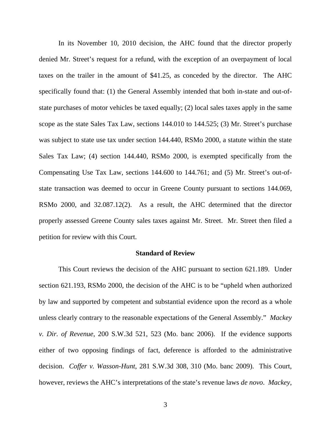In its November 10, 2010 decision, the AHC found that the director properly denied Mr. Street's request for a refund, with the exception of an overpayment of local taxes on the trailer in the amount of \$41.25, as conceded by the director. The AHC specifically found that: (1) the General Assembly intended that both in-state and out-ofstate purchases of motor vehicles be taxed equally; (2) local sales taxes apply in the same scope as the state Sales Tax Law, sections 144.010 to 144.525; (3) Mr. Street's purchase was subject to state use tax under section 144.440, RSMo 2000, a statute within the state Sales Tax Law; (4) section 144.440, RSMo 2000, is exempted specifically from the Compensating Use Tax Law, sections 144.600 to 144.761; and (5) Mr. Street's out-ofstate transaction was deemed to occur in Greene County pursuant to sections 144.069, RSMo 2000, and 32.087.12(2). As a result, the AHC determined that the director properly assessed Greene County sales taxes against Mr. Street. Mr. Street then filed a petition for review with this Court.

#### **Standard of Review**

This Court reviews the decision of the AHC pursuant to section 621.189. Under section 621.193, RSMo 2000, the decision of the AHC is to be "upheld when authorized by law and supported by competent and substantial evidence upon the record as a whole unless clearly contrary to the reasonable expectations of the General Assembly." *Mackey v. Dir. of Revenue*, 200 S.W.3d 521, 523 (Mo. banc 2006). If the evidence supports either of two opposing findings of fact, deference is afforded to the administrative decision. *Coffer v. Wasson-Hunt*, 281 S.W.3d 308, 310 (Mo. banc 2009). This Court, however, reviews the AHC's interpretations of the state's revenue laws *de novo*. *Mackey*,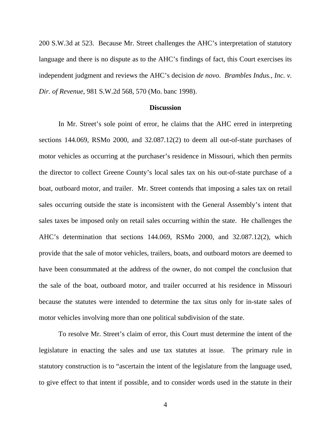200 S.W.3d at 523. Because Mr. Street challenges the AHC's interpretation of statutory language and there is no dispute as to the AHC's findings of fact, this Court exercises its independent judgment and reviews the AHC's decision *de novo*. *Brambles Indus., Inc. v. Dir. of Revenue*, 981 S.W.2d 568, 570 (Mo. banc 1998).

### **Discussion**

In Mr. Street's sole point of error, he claims that the AHC erred in interpreting sections 144.069, RSMo 2000, and 32.087.12(2) to deem all out-of-state purchases of motor vehicles as occurring at the purchaser's residence in Missouri, which then permits the director to collect Greene County's local sales tax on his out-of-state purchase of a boat, outboard motor, and trailer. Mr. Street contends that imposing a sales tax on retail sales occurring outside the state is inconsistent with the General Assembly's intent that sales taxes be imposed only on retail sales occurring within the state. He challenges the AHC's determination that sections 144.069, RSMo 2000, and 32.087.12(2), which provide that the sale of motor vehicles, trailers, boats, and outboard motors are deemed to have been consummated at the address of the owner, do not compel the conclusion that the sale of the boat, outboard motor, and trailer occurred at his residence in Missouri because the statutes were intended to determine the tax situs only for in-state sales of motor vehicles involving more than one political subdivision of the state.

To resolve Mr. Street's claim of error, this Court must determine the intent of the legislature in enacting the sales and use tax statutes at issue. The primary rule in statutory construction is to "ascertain the intent of the legislature from the language used, to give effect to that intent if possible, and to consider words used in the statute in their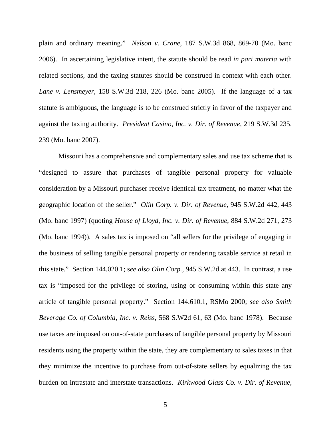plain and ordinary meaning." *Nelson v. Crane*, 187 S.W.3d 868, 869-70 (Mo. banc 2006). In ascertaining legislative intent, the statute should be read *in pari materia* with related sections, and the taxing statutes should be construed in context with each other. *Lane v. Lensmeyer*, 158 S.W.3d 218, 226 (Mo. banc 2005). If the language of a tax statute is ambiguous, the language is to be construed strictly in favor of the taxpayer and against the taxing authority. *President Casino, Inc. v. Dir. of Revenue*, 219 S.W.3d 235, 239 (Mo. banc 2007).

Missouri has a comprehensive and complementary sales and use tax scheme that is "designed to assure that purchases of tangible personal property for valuable consideration by a Missouri purchaser receive identical tax treatment, no matter what the geographic location of the seller." *Olin Corp. v. Dir. of Revenue*, 945 S.W.2d 442, 443 (Mo. banc 1997) (quoting *House of Lloyd, Inc. v. Dir. of Revenue*, 884 S.W.2d 271, 273 (Mo. banc 1994)). A sales tax is imposed on "all sellers for the privilege of engaging in the business of selling tangible personal property or rendering taxable service at retail in this state." Section 144.020.1; s*ee also Olin Corp.*, 945 S.W.2d at 443. In contrast, a use tax is "imposed for the privilege of storing, using or consuming within this state any article of tangible personal property." Section 144.610.1, RSMo 2000; *see also Smith Beverage Co. of Columbia, Inc. v. Reiss*, 568 S.W2d 61, 63 (Mo. banc 1978). Because use taxes are imposed on out-of-state purchases of tangible personal property by Missouri residents using the property within the state, they are complementary to sales taxes in that they minimize the incentive to purchase from out-of-state sellers by equalizing the tax burden on intrastate and interstate transactions. *Kirkwood Glass Co. v. Dir. of Revenue*,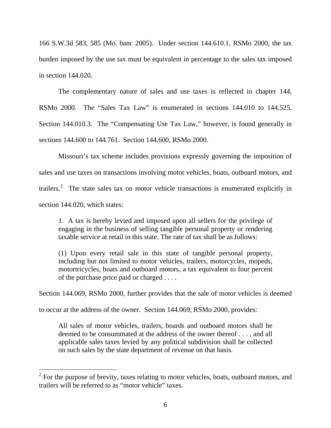166 S.W.3d 583, 585 (Mo. banc 2005). Under section 144.610.1, RSMo 2000, the tax burden imposed by the use tax must be equivalent in percentage to the sales tax imposed in section 144.020.

The complementary nature of sales and use taxes is reflected in chapter 144, RSMo 2000. The "Sales Tax Law" is enumerated in sections 144.010 to 144.525. Section 144.010.3. The "Compensating Use Tax Law," however, is found generally in sections 144.600 to 144.761. Section 144.600, RSMo 2000.

Missouri's tax scheme includes provisions expressly governing the imposition of sales and use taxes on transactions involving motor vehicles, boats, outboard motors, and trailers.<sup>[2](#page-5-0)</sup> The state sales tax on motor vehicle transactions is enumerated explicitly in section 144.020, which states:

1. A tax is hereby levied and imposed upon all sellers for the privilege of engaging in the business of selling tangible personal property or rendering taxable service at retail in this state. The rate of tax shall be as follows:

(1) Upon every retail sale in this state of tangible personal property, including but not limited to motor vehicles, trailers, motorcycles, mopeds, motortricycles, boats and outboard motors, a tax equivalent to four percent of the purchase price paid or charged . . . .

Section 144.069, RSMo 2000, further provides that the sale of motor vehicles is deemed

to occur at the address of the owner. Section 144.069, RSMo 2000, provides:

All sales of motor vehicles, trailers, boards and outboard motors shall be deemed to be consummated at the address of the owner thereof . . . , and all applicable sales taxes levied by any political subdivision shall be collected on such sales by the state department of revenue on that basis.

<span id="page-5-0"></span> $2^2$  For the purpose of brevity, taxes relating to motor vehicles, boats, outboard motors, and trailers will be referred to as "motor vehicle" taxes.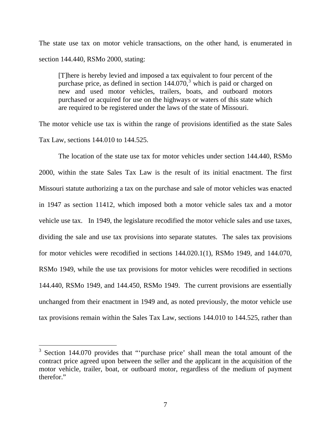The state use tax on motor vehicle transactions, on the other hand, is enumerated in section 144.440, RSMo 2000, stating:

[T]here is hereby levied and imposed a tax equivalent to four percent of the purchase price, as defined in section  $144.070$ ,<sup>[3](#page-6-0)</sup> which is paid or charged on new and used motor vehicles, trailers, boats, and outboard motors purchased or acquired for use on the highways or waters of this state which are required to be registered under the laws of the state of Missouri.

The motor vehicle use tax is within the range of provisions identified as the state Sales Tax Law, sections 144.010 to 144.525.

The location of the state use tax for motor vehicles under section 144.440, RSMo 2000, within the state Sales Tax Law is the result of its initial enactment. The first Missouri statute authorizing a tax on the purchase and sale of motor vehicles was enacted in 1947 as section 11412, which imposed both a motor vehicle sales tax and a motor vehicle use tax. In 1949, the legislature recodified the motor vehicle sales and use taxes, dividing the sale and use tax provisions into separate statutes. The sales tax provisions for motor vehicles were recodified in sections 144.020.1(1), RSMo 1949, and 144.070, RSMo 1949, while the use tax provisions for motor vehicles were recodified in sections 144.440, RSMo 1949, and 144.450, RSMo 1949. The current provisions are essentially unchanged from their enactment in 1949 and, as noted previously, the motor vehicle use tax provisions remain within the Sales Tax Law, sections 144.010 to 144.525, rather than

<span id="page-6-0"></span><sup>&</sup>lt;sup>3</sup> Section 144.070 provides that "'purchase price' shall mean the total amount of the contract price agreed upon between the seller and the applicant in the acquisition of the motor vehicle, trailer, boat, or outboard motor, regardless of the medium of payment therefor."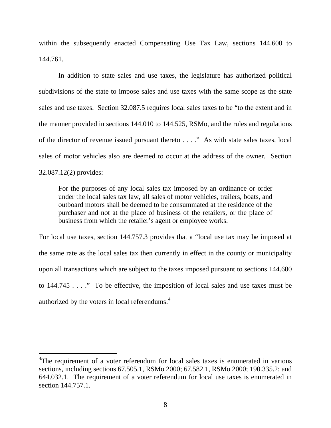within the subsequently enacted Compensating Use Tax Law, sections 144.600 to 144.761.

In addition to state sales and use taxes, the legislature has authorized political subdivisions of the state to impose sales and use taxes with the same scope as the state sales and use taxes. Section 32.087.5 requires local sales taxes to be "to the extent and in the manner provided in sections 144.010 to 144.525, RSMo, and the rules and regulations of the director of revenue issued pursuant thereto . . . ." As with state sales taxes, local sales of motor vehicles also are deemed to occur at the address of the owner. Section 32.087.12(2) provides:

For the purposes of any local sales tax imposed by an ordinance or order under the local sales tax law, all sales of motor vehicles, trailers, boats, and outboard motors shall be deemed to be consummated at the residence of the purchaser and not at the place of business of the retailers, or the place of business from which the retailer's agent or employee works.

For local use taxes, section 144.757.3 provides that a "local use tax may be imposed at the same rate as the local sales tax then currently in effect in the county or municipality upon all transactions which are subject to the taxes imposed pursuant to sections 144.600 to 144.745 . . . ." To be effective, the imposition of local sales and use taxes must be authorized by the voters in local referendums.<sup>[4](#page-7-0)</sup>

<span id="page-7-0"></span><sup>&</sup>lt;sup>4</sup>The requirement of a voter referendum for local sales taxes is enumerated in various sections, including sections 67.505.1, RSMo 2000; 67.582.1, RSMo 2000; 190.335.2; and 644.032.1. The requirement of a voter referendum for local use taxes is enumerated in section 144.757.1.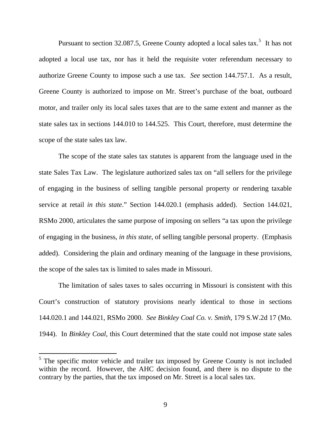Pursuant to section 32.087.[5](#page-8-0), Greene County adopted a local sales  $\text{tax.}^5$  It has not adopted a local use tax, nor has it held the requisite voter referendum necessary to authorize Greene County to impose such a use tax. *See* section 144.757.1. As a result, Greene County is authorized to impose on Mr. Street's purchase of the boat, outboard motor, and trailer only its local sales taxes that are to the same extent and manner as the state sales tax in sections 144.010 to 144.525. This Court, therefore, must determine the scope of the state sales tax law.

The scope of the state sales tax statutes is apparent from the language used in the state Sales Tax Law. The legislature authorized sales tax on "all sellers for the privilege of engaging in the business of selling tangible personal property or rendering taxable service at retail *in this state*." Section 144.020.1 (emphasis added). Section 144.021, RSMo 2000, articulates the same purpose of imposing on sellers "a tax upon the privilege of engaging in the business, *in this state*, of selling tangible personal property. (Emphasis added). Considering the plain and ordinary meaning of the language in these provisions, the scope of the sales tax is limited to sales made in Missouri.

The limitation of sales taxes to sales occurring in Missouri is consistent with this Court's construction of statutory provisions nearly identical to those in sections 144.020.1 and 144.021, RSMo 2000. *See Binkley Coal Co. v. Smith*, 179 S.W.2d 17 (Mo. 1944). In *Binkley Coal*, this Court determined that the state could not impose state sales

<span id="page-8-0"></span><sup>&</sup>lt;sup>5</sup> The specific motor vehicle and trailer tax imposed by Greene County is not included within the record. However, the AHC decision found, and there is no dispute to the contrary by the parties, that the tax imposed on Mr. Street is a local sales tax.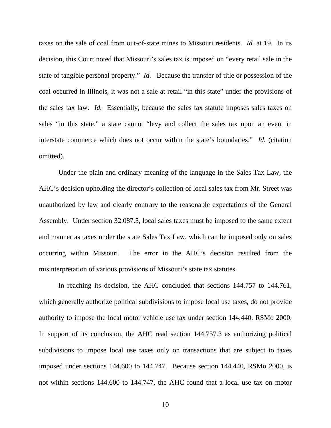taxes on the sale of coal from out-of-state mines to Missouri residents. *Id.* at 19. In its decision, this Court noted that Missouri's sales tax is imposed on "every retail sale in the state of tangible personal property." *Id.* Because the transfer of title or possession of the coal occurred in Illinois, it was not a sale at retail "in this state" under the provisions of the sales tax law. *Id.* Essentially, because the sales tax statute imposes sales taxes on sales "in this state," a state cannot "levy and collect the sales tax upon an event in interstate commerce which does not occur within the state's boundaries." *Id.* (citation omitted).

Under the plain and ordinary meaning of the language in the Sales Tax Law, the AHC's decision upholding the director's collection of local sales tax from Mr. Street was unauthorized by law and clearly contrary to the reasonable expectations of the General Assembly. Under section 32.087.5, local sales taxes must be imposed to the same extent and manner as taxes under the state Sales Tax Law, which can be imposed only on sales occurring within Missouri. The error in the AHC's decision resulted from the misinterpretation of various provisions of Missouri's state tax statutes.

In reaching its decision, the AHC concluded that sections 144.757 to 144.761, which generally authorize political subdivisions to impose local use taxes, do not provide authority to impose the local motor vehicle use tax under section 144.440, RSMo 2000. In support of its conclusion, the AHC read section 144.757.3 as authorizing political subdivisions to impose local use taxes only on transactions that are subject to taxes imposed under sections 144.600 to 144.747. Because section 144.440, RSMo 2000, is not within sections 144.600 to 144.747, the AHC found that a local use tax on motor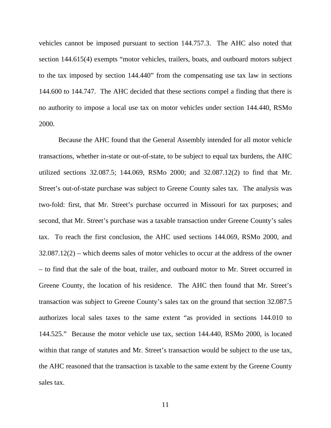vehicles cannot be imposed pursuant to section 144.757.3. The AHC also noted that section 144.615(4) exempts "motor vehicles, trailers, boats, and outboard motors subject to the tax imposed by section 144.440" from the compensating use tax law in sections 144.600 to 144.747. The AHC decided that these sections compel a finding that there is no authority to impose a local use tax on motor vehicles under section 144.440, RSMo 2000.

Because the AHC found that the General Assembly intended for all motor vehicle transactions, whether in-state or out-of-state, to be subject to equal tax burdens, the AHC utilized sections 32.087.5; 144.069, RSMo 2000; and 32.087.12(2) to find that Mr. Street's out-of-state purchase was subject to Greene County sales tax. The analysis was two-fold: first, that Mr. Street's purchase occurred in Missouri for tax purposes; and second, that Mr. Street's purchase was a taxable transaction under Greene County's sales tax. To reach the first conclusion, the AHC used sections 144.069, RSMo 2000, and 32.087.12(2) – which deems sales of motor vehicles to occur at the address of the owner – to find that the sale of the boat, trailer, and outboard motor to Mr. Street occurred in Greene County, the location of his residence. The AHC then found that Mr. Street's transaction was subject to Greene County's sales tax on the ground that section 32.087.5 authorizes local sales taxes to the same extent "as provided in sections 144.010 to 144.525." Because the motor vehicle use tax, section 144.440, RSMo 2000, is located within that range of statutes and Mr. Street's transaction would be subject to the use tax, the AHC reasoned that the transaction is taxable to the same extent by the Greene County sales tax.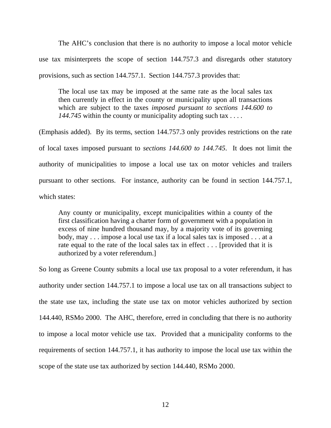The AHC's conclusion that there is no authority to impose a local motor vehicle use tax misinterprets the scope of section 144.757.3 and disregards other statutory provisions, such as section 144.757.1. Section 144.757.3 provides that:

The local use tax may be imposed at the same rate as the local sales tax then currently in effect in the county or municipality upon all transactions which are subject to the taxes *imposed pursuant to sections 144.600 to 144.745* within the county or municipality adopting such tax . . . .

(Emphasis added). By its terms, section 144.757.3 only provides restrictions on the rate of local taxes imposed pursuant to *sections 144.600 to 144.745*. It does not limit the authority of municipalities to impose a local use tax on motor vehicles and trailers pursuant to other sections. For instance, authority can be found in section 144.757.1, which states:

Any county or municipality, except municipalities within a county of the first classification having a charter form of government with a population in excess of nine hundred thousand may, by a majority vote of its governing body, may . . . impose a local use tax if a local sales tax is imposed . . . at a rate equal to the rate of the local sales tax in effect . . . [provided that it is authorized by a voter referendum.]

So long as Greene County submits a local use tax proposal to a voter referendum, it has authority under section 144.757.1 to impose a local use tax on all transactions subject to the state use tax, including the state use tax on motor vehicles authorized by section 144.440, RSMo 2000. The AHC, therefore, erred in concluding that there is no authority to impose a local motor vehicle use tax. Provided that a municipality conforms to the requirements of section 144.757.1, it has authority to impose the local use tax within the scope of the state use tax authorized by section 144.440, RSMo 2000.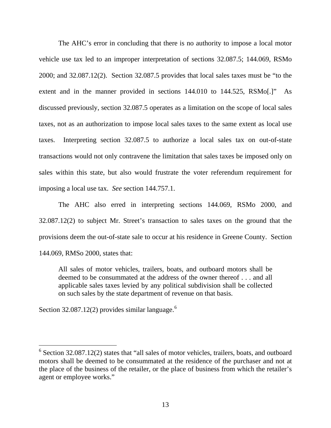The AHC's error in concluding that there is no authority to impose a local motor vehicle use tax led to an improper interpretation of sections 32.087.5; 144.069, RSMo 2000; and 32.087.12(2). Section 32.087.5 provides that local sales taxes must be "to the extent and in the manner provided in sections 144.010 to 144.525, RSMo[.]" As discussed previously, section 32.087.5 operates as a limitation on the scope of local sales taxes, not as an authorization to impose local sales taxes to the same extent as local use taxes. Interpreting section 32.087.5 to authorize a local sales tax on out-of-state transactions would not only contravene the limitation that sales taxes be imposed only on sales within this state, but also would frustrate the voter referendum requirement for imposing a local use tax. *See* section 144.757.1.

The AHC also erred in interpreting sections 144.069, RSMo 2000, and 32.087.12(2) to subject Mr. Street's transaction to sales taxes on the ground that the provisions deem the out-of-state sale to occur at his residence in Greene County. Section 144.069, RMSo 2000, states that:

All sales of motor vehicles, trailers, boats, and outboard motors shall be deemed to be consummated at the address of the owner thereof . . . and all applicable sales taxes levied by any political subdivision shall be collected on such sales by the state department of revenue on that basis.

Section 32.087.12(2) provides similar language.<sup>[6](#page-12-0)</sup>

<span id="page-12-0"></span> $6$  Section 32.087.12(2) states that "all sales of motor vehicles, trailers, boats, and outboard motors shall be deemed to be consummated at the residence of the purchaser and not at the place of the business of the retailer, or the place of business from which the retailer's agent or employee works."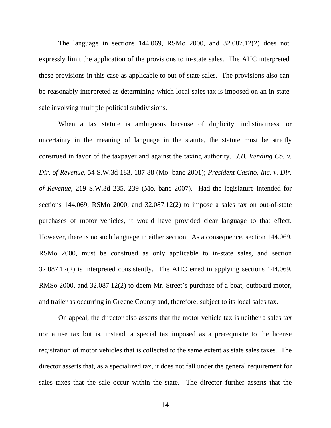The language in sections 144.069, RSMo 2000, and 32.087.12(2) does not expressly limit the application of the provisions to in-state sales. The AHC interpreted these provisions in this case as applicable to out-of-state sales. The provisions also can be reasonably interpreted as determining which local sales tax is imposed on an in-state sale involving multiple political subdivisions.

When a tax statute is ambiguous because of duplicity, indistinctness, or uncertainty in the meaning of language in the statute, the statute must be strictly construed in favor of the taxpayer and against the taxing authority. *J.B. Vending Co. v. Dir. of Revenue*, 54 S.W.3d 183, 187-88 (Mo. banc 2001); *President Casino, Inc. v. Dir. of Revenue*, 219 S.W.3d 235, 239 (Mo. banc 2007). Had the legislature intended for sections 144.069, RSMo 2000, and 32.087.12(2) to impose a sales tax on out-of-state purchases of motor vehicles, it would have provided clear language to that effect. However, there is no such language in either section. As a consequence, section 144.069, RSMo 2000, must be construed as only applicable to in-state sales, and section 32.087.12(2) is interpreted consistently. The AHC erred in applying sections 144.069, RMSo 2000, and 32.087.12(2) to deem Mr. Street's purchase of a boat, outboard motor, and trailer as occurring in Greene County and, therefore, subject to its local sales tax.

On appeal, the director also asserts that the motor vehicle tax is neither a sales tax nor a use tax but is, instead, a special tax imposed as a prerequisite to the license registration of motor vehicles that is collected to the same extent as state sales taxes. The director asserts that, as a specialized tax, it does not fall under the general requirement for sales taxes that the sale occur within the state. The director further asserts that the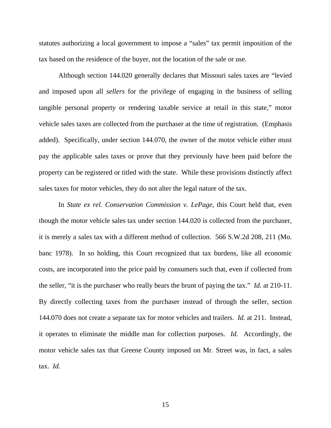statutes authorizing a local government to impose a "sales" tax permit imposition of the tax based on the residence of the buyer, not the location of the sale or use.

Although section 144.020 generally declares that Missouri sales taxes are "levied and imposed upon all *sellers* for the privilege of engaging in the business of selling tangible personal property or rendering taxable service at retail in this state," motor vehicle sales taxes are collected from the purchaser at the time of registration. (Emphasis added). Specifically, under section 144.070, the owner of the motor vehicle either must pay the applicable sales taxes or prove that they previously have been paid before the property can be registered or titled with the state. While these provisions distinctly affect sales taxes for motor vehicles, they do not alter the legal nature of the tax.

In *State ex rel. Conservation Commission v. LePage*, this Court held that, even though the motor vehicle sales tax under section 144.020 is collected from the purchaser, it is merely a sales tax with a different method of collection. 566 S.W.2d 208, 211 (Mo. banc 1978). In so holding, this Court recognized that tax burdens, like all economic costs, are incorporated into the price paid by consumers such that, even if collected from the seller, "it is the purchaser who really bears the brunt of paying the tax." *Id.* at 210-11. By directly collecting taxes from the purchaser instead of through the seller, section 144.070 does not create a separate tax for motor vehicles and trailers. *Id.* at 211. Instead, it operates to eliminate the middle man for collection purposes. *Id.* Accordingly, the motor vehicle sales tax that Greene County imposed on Mr. Street was, in fact, a sales tax. *Id.*

15